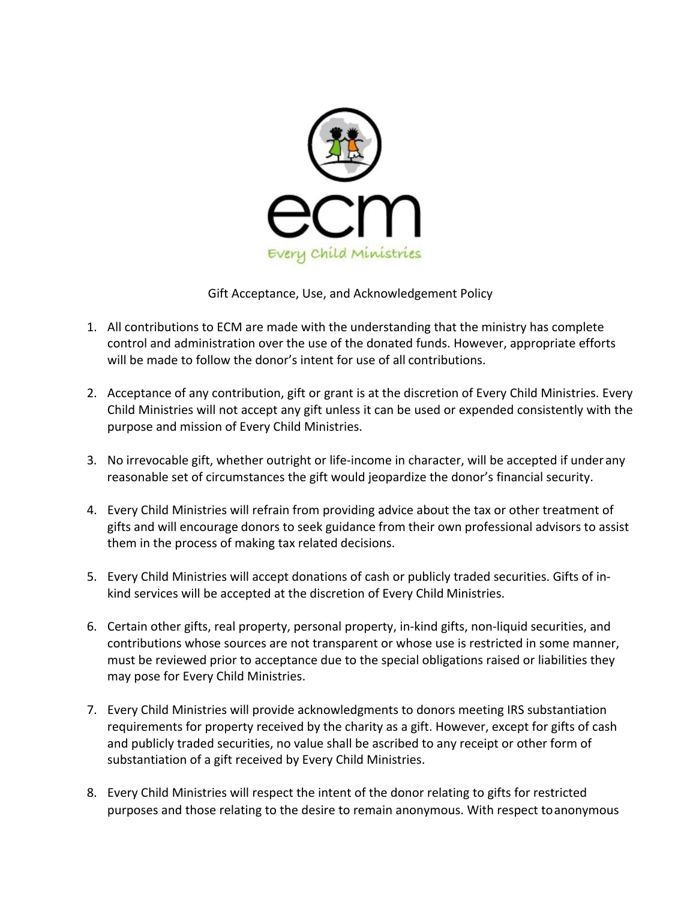

Gift Acceptance, Use, and Acknowledgement Policy

- 1. All contributions to ECM are made with the understanding that the ministry has complete control and administration over the use of the donated funds. However, appropriate efforts will be made to follow the donor's intent for use of all contributions.
- 2. Acceptance of any contribution, gift or grant is at the discretion of Every Child Ministries. Every Child Ministries will not accept any gift unless it can be used or expended consistently with the purpose and mission of Every Child Ministries.
- 3. No irrevocable gift, whether outright or life-income in character, will be accepted if under any reasonable set of circumstances the gift would jeopardize the donor's financial security.
- 4. Every Child Ministries will refrain from providing advice about the tax or other treatment of gifts and will encourage donors to seek guidance from their own professional advisors to assist them in the process of making tax related decisions.
- 5. Every Child Ministries will accept donations of cash or publicly traded securities. Gifts of inkind services will be accepted at the discretion of Every Child Ministries.
- 6. Certain other gifts, real property, personal property, in-kind gifts, non-liquid securities, and contributions whose sources are not transparent or whose use is restricted in some manner, must be reviewed prior to acceptance due to the special obligations raised or liabilities they may pose for Every Child Ministries.
- 7. Every Child Ministries will provide acknowledgments to donors meeting IRS substantiation requirements for property received by the charity as a gift. However, except for gifts of cash and publicly traded securities, no value shall be ascribed to any receipt or other form of substantiation of a gift received by Every Child Ministries.
- 8. Every Child Ministries will respect the intent of the donor relating to gifts for restricted purposes and those relating to the desire to remain anonymous. With respect toanonymous